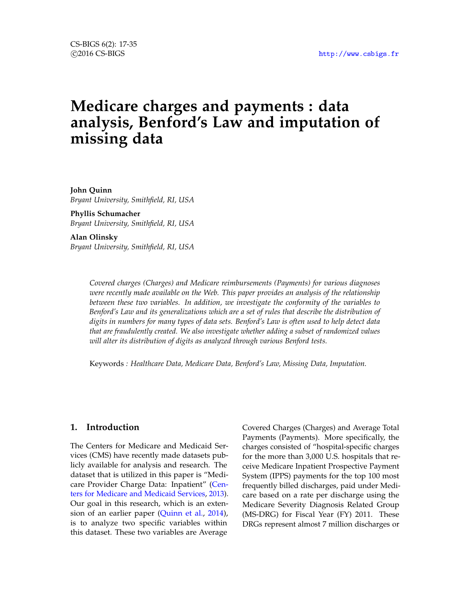# **Medicare charges and payments : data analysis, Benford's Law and imputation of missing data**

**John Quinn** *Bryant University, Smithfield, RI, USA*

**Phyllis Schumacher** *Bryant University, Smithfield, RI, USA*

**Alan Olinsky**

*Bryant University, Smithfield, RI, USA*

*Covered charges (Charges) and Medicare reimbursements (Payments) for various diagnoses were recently made available on the Web. This paper provides an analysis of the relationship between these two variables. In addition, we investigate the conformity of the variables to Benford's Law and its generalizations which are a set of rules that describe the distribution of digits in numbers for many types of data sets. Benford's Law is often used to help detect data that are fraudulently created. We also investigate whether adding a subset of randomized values will alter its distribution of digits as analyzed through various Benford tests.*

Keywords *: Healthcare Data, Medicare Data, Benford's Law, Missing Data, Imputation.*

## **1. Introduction**

The Centers for Medicare and Medicaid Services (CMS) have recently made datasets publicly available for analysis and research. The dataset that is utilized in this paper is "Medicare Provider Charge Data: Inpatient" [\(Cen](#page-17-0)[ters for Medicare and Medicaid Services,](#page-17-0) [2013\)](#page-17-0). Our goal in this research, which is an extension of an earlier paper [\(Quinn et al.,](#page-18-0) [2014\)](#page-18-0), is to analyze two specific variables within this dataset. These two variables are Average

Covered Charges (Charges) and Average Total Payments (Payments). More specifically, the charges consisted of "hospital-specific charges for the more than 3,000 U.S. hospitals that receive Medicare Inpatient Prospective Payment System (IPPS) payments for the top 100 most frequently billed discharges, paid under Medicare based on a rate per discharge using the Medicare Severity Diagnosis Related Group (MS-DRG) for Fiscal Year (FY) 2011. These DRGs represent almost 7 million discharges or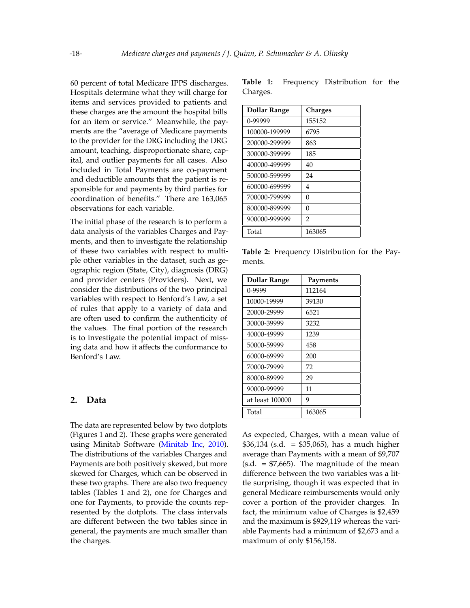60 percent of total Medicare IPPS discharges. Hospitals determine what they will charge for items and services provided to patients and these charges are the amount the hospital bills for an item or service." Meanwhile, the payments are the "average of Medicare payments to the provider for the DRG including the DRG amount, teaching, disproportionate share, capital, and outlier payments for all cases. Also included in Total Payments are co-payment and deductible amounts that the patient is responsible for and payments by third parties for coordination of benefits." There are 163,065 observations for each variable.

The initial phase of the research is to perform a data analysis of the variables Charges and Payments, and then to investigate the relationship of these two variables with respect to multiple other variables in the dataset, such as geographic region (State, City), diagnosis (DRG) and provider centers (Providers). Next, we consider the distributions of the two principal variables with respect to Benford's Law, a set of rules that apply to a variety of data and are often used to confirm the authenticity of the values. The final portion of the research is to investigate the potential impact of missing data and how it affects the conformance to Benford's Law.

#### **2. Data**

The data are represented below by two dotplots (Figures [1](#page-2-0) and [2\)](#page-2-1). These graphs were generated using Minitab Software [\(Minitab Inc,](#page-17-1) [2010\)](#page-17-1). The distributions of the variables Charges and Payments are both positively skewed, but more skewed for Charges, which can be observed in these two graphs. There are also two frequency tables (Tables [1](#page-1-0) and [2\)](#page-1-1), one for Charges and one for Payments, to provide the counts represented by the dotplots. The class intervals are different between the two tables since in general, the payments are much smaller than the charges.

<span id="page-1-0"></span>

| Dollar Range  | <b>Charges</b> |
|---------------|----------------|
| $0 - 99999$   | 155152         |
| 100000-199999 | 6795           |
| 200000-299999 | 863            |
| 300000-399999 | 185            |
| 400000-499999 | 40             |
| 500000-599999 | 24             |
| 600000-699999 | 4              |
| 700000-799999 | $\Omega$       |
| 800000-899999 | 0              |
| 900000-999999 | $\overline{2}$ |
| Total         | 163065         |

<span id="page-1-1"></span>**Table 2:** Frequency Distribution for the Payments.

| Dollar Range    | Payments |
|-----------------|----------|
| 0-9999          | 112164   |
| 10000-19999     | 39130    |
| 20000-29999     | 6521     |
| 30000-39999     | 3232     |
| 40000-49999     | 1239     |
| 50000-59999     | 458      |
| 60000-69999     | 200      |
| 70000-79999     | 72       |
| 80000-89999     | 29       |
| 90000-99999     | 11       |
| at least 100000 | 9        |
| Total           | 163065   |

As expected, Charges, with a mean value of  $$36,134$  (s.d. = \$35,065), has a much higher average than Payments with a mean of \$9,707  $(s.d. = $7,665)$ . The magnitude of the mean difference between the two variables was a little surprising, though it was expected that in general Medicare reimbursements would only cover a portion of the provider charges. In fact, the minimum value of Charges is \$2,459 and the maximum is \$929,119 whereas the variable Payments had a minimum of \$2,673 and a maximum of only \$156,158.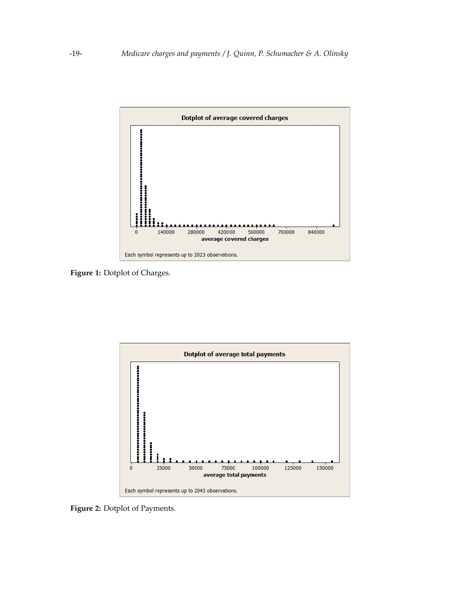<span id="page-2-0"></span>

**Figure 1:** Dotplot of Charges.

<span id="page-2-1"></span>

**Figure 2:** Dotplot of Payments.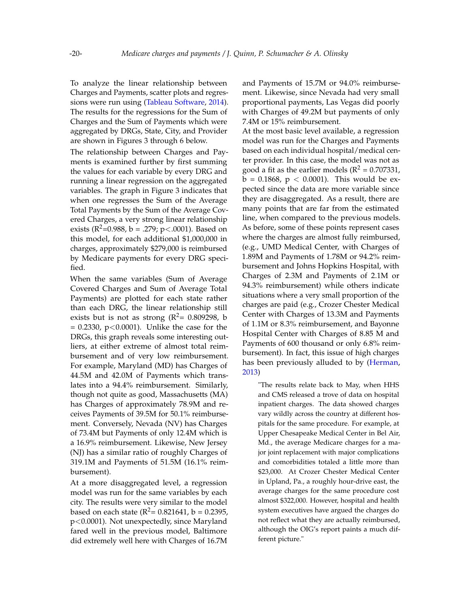To analyze the linear relationship between Charges and Payments, scatter plots and regressions were run using [\(Tableau Software,](#page-18-1) [2014\)](#page-18-1). The results for the regressions for the Sum of Charges and the Sum of Payments which were aggregated by DRGs, State, City, and Provider are shown in Figures [3](#page-4-0) through [6](#page-7-0) below.

The relationship between Charges and Payments is examined further by first summing the values for each variable by every DRG and running a linear regression on the aggregated variables. The graph in Figure [3](#page-4-0) indicates that when one regresses the Sum of the Average Total Payments by the Sum of the Average Covered Charges, a very strong linear relationship exists ( $\mathbb{R}^2$ =0.988, b = .279; p<.0001). Based on this model, for each additional \$1,000,000 in charges, approximately \$279,000 is reimbursed by Medicare payments for every DRG specified.

When the same variables (Sum of Average Covered Charges and Sum of Average Total Payments) are plotted for each state rather than each DRG, the linear relationship still exists but is not as strong ( $R^2$ = 0.809298, b  $= 0.2330$ ,  $p < 0.0001$ ). Unlike the case for the DRGs, this graph reveals some interesting outliers, at either extreme of almost total reimbursement and of very low reimbursement. For example, Maryland (MD) has Charges of 44.5M and 42.0M of Payments which translates into a 94.4% reimbursement. Similarly, though not quite as good, Massachusetts (MA) has Charges of approximately 78.9M and receives Payments of 39.5M for 50.1% reimbursement. Conversely, Nevada (NV) has Charges of 73.4M but Payments of only 12.4M which is a 16.9% reimbursement. Likewise, New Jersey (NJ) has a similar ratio of roughly Charges of 319.1M and Payments of 51.5M (16.1% reimbursement).

At a more disaggregated level, a regression model was run for the same variables by each city. The results were very similar to the model based on each state  $(R^2 = 0.821641, b = 0.2395,$ p<0.0001). Not unexpectedly, since Maryland fared well in the previous model, Baltimore did extremely well here with Charges of 16.7M and Payments of 15.7M or 94.0% reimbursement. Likewise, since Nevada had very small proportional payments, Las Vegas did poorly with Charges of 49.2M but payments of only 7.4M or 15% reimbursement.

At the most basic level available, a regression model was run for the Charges and Payments based on each individual hospital/medical center provider. In this case, the model was not as good a fit as the earlier models ( $R^2 = 0.707331$ ,  $b = 0.1868$ ,  $p < 0.0001$ ). This would be expected since the data are more variable since they are disaggregated. As a result, there are many points that are far from the estimated line, when compared to the previous models. As before, some of these points represent cases where the charges are almost fully reimbursed, (e.g., UMD Medical Center, with Charges of 1.89M and Payments of 1.78M or 94.2% reimbursement and Johns Hopkins Hospital, with Charges of 2.3M and Payments of 2.1M or 94.3% reimbursement) while others indicate situations where a very small proportion of the charges are paid (e.g., Crozer Chester Medical Center with Charges of 13.3M and Payments of 1.1M or 8.3% reimbursement, and Bayonne Hospital Center with Charges of 8.85 M and Payments of 600 thousand or only 6.8% reimbursement). In fact, this issue of high charges has been previously alluded to by [\(Herman,](#page-17-2) [2013\)](#page-17-2)

"The results relate back to May, when HHS and CMS released a trove of data on hospital inpatient charges. The data showed charges vary wildly across the country at different hospitals for the same procedure. For example, at Upper Chesapeake Medical Center in Bel Air, Md., the average Medicare charges for a major joint replacement with major complications and comorbidities totaled a little more than \$23,000. At Crozer Chester Medical Center in Upland, Pa., a roughly hour-drive east, the average charges for the same procedure cost almost \$322,000. However, hospital and health system executives have argued the charges do not reflect what they are actually reimbursed, although the OIG's report paints a much different picture."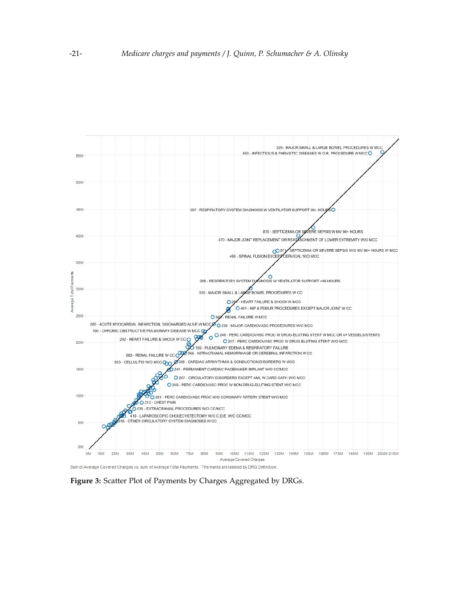<span id="page-4-0"></span>

Sum of Average Covered Charges vs. sum of Average Total Payments. The marks are labeled by DRG Definition.

**Figure 3:** Scatter Plot of Payments by Charges Aggregated by DRGs.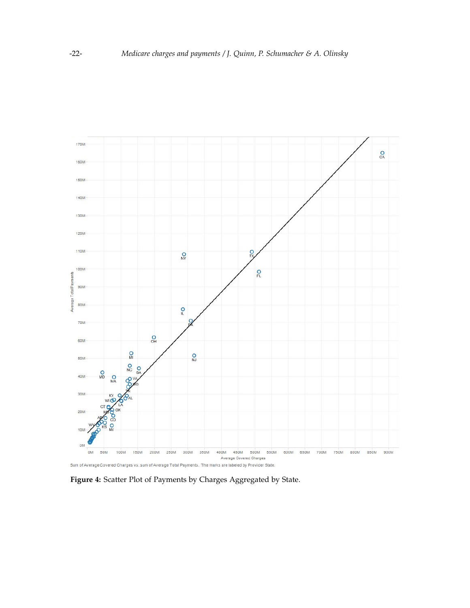

Sum of Average Covered Charges vs. sum of Average Total Payments. The marks are labeled by Provider State.

**Figure 4:** Scatter Plot of Payments by Charges Aggregated by State.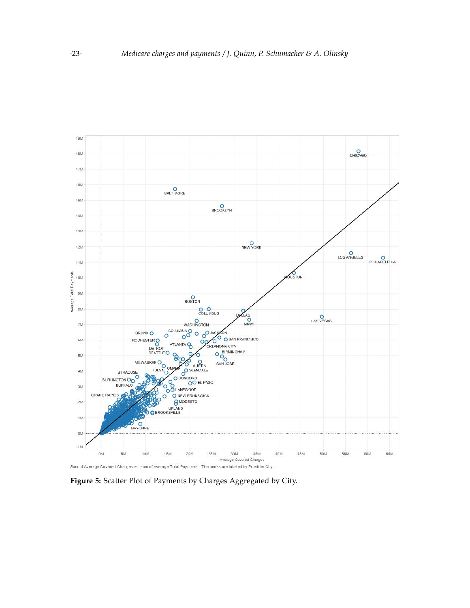

**Figure 5:** Scatter Plot of Payments by Charges Aggregated by City.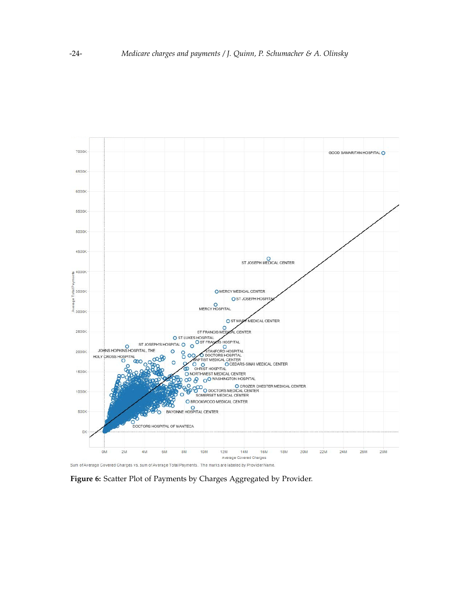<span id="page-7-0"></span>

Sum of Average Covered Charges vs. sum of Average Total Payments. The marks are labeled by Provider Name.

**Figure 6:** Scatter Plot of Payments by Charges Aggregated by Provider.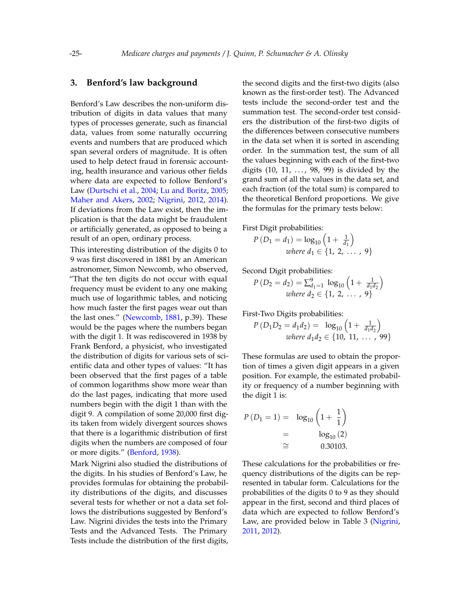# **3. Benford's law background**

Benford's Law describes the non-uniform distribution of digits in data values that many types of processes generate, such as financial data, values from some naturally occurring events and numbers that are produced which span several orders of magnitude. It is often used to help detect fraud in forensic accounting, health insurance and various other fields where data are expected to follow Benford's Law [\(Durtschi et al.,](#page-17-3) [2004;](#page-17-3) [Lu and Boritz,](#page-17-4) [2005;](#page-17-4) [Maher and Akers,](#page-17-5) [2002;](#page-17-5) [Nigrini,](#page-17-6) [2012,](#page-17-6) [2014\)](#page-17-7). If deviations from the Law exist, then the implication is that the data might be fraudulent or artificially generated, as opposed to being a result of an open, ordinary process.

This interesting distribution of the digits 0 to 9 was first discovered in 1881 by an American astronomer, Simon Newcomb, who observed, "That the ten digits do not occur with equal frequency must be evident to any one making much use of logarithmic tables, and noticing how much faster the first pages wear out than the last ones." [\(Newcomb,](#page-17-8) [1881,](#page-17-8) p.39). These would be the pages where the numbers began with the digit 1. It was rediscovered in 1938 by Frank Benford, a physicist, who investigated the distribution of digits for various sets of scientific data and other types of values: "It has been observed that the first pages of a table of common logarithms show more wear than do the last pages, indicating that more used numbers begin with the digit 1 than with the digit 9. A compilation of some 20,000 first digits taken from widely divergent sources shows that there is a logarithmic distribution of first digits when the numbers are composed of four or more digits." [\(Benford,](#page-17-9) [1938\)](#page-17-9).

Mark Nigrini also studied the distributions of the digits. In his studies of Benford's Law, he provides formulas for obtaining the probability distributions of the digits, and discusses several tests for whether or not a data set follows the distributions suggested by Benford's Law. Nigrini divides the tests into the Primary Tests and the Advanced Tests. The Primary Tests include the distribution of the first digits, the second digits and the first-two digits (also known as the first-order test). The Advanced tests include the second-order test and the summation test. The second-order test considers the distribution of the first-two digits of the differences between consecutive numbers in the data set when it is sorted in ascending order. In the summation test, the sum of all the values beginning with each of the first-two digits  $(10, 11, \ldots, 98, 99)$  is divided by the grand sum of all the values in the data set, and each fraction (of the total sum) is compared to the theoretical Benford proportions. We give the formulas for the primary tests below:

First Digit probabilities:

$$
P(D_1 = d_1) = \log_{10} \left( 1 + \frac{1}{d_1} \right)
$$
  
where  $d_1 \in \{1, 2, ..., 9\}$ 

Second Digit probabilities:

$$
P(D_2 = d_2) = \sum_{d_1=1}^{9} \log_{10} \left( 1 + \frac{1}{d_1 d_2} \right)
$$
  
where  $d_2 \in \{1, 2, ..., 9\}$ 

First-Two Digits probabilities:

$$
P(D_1D_2 = d_1d_2) = \log_{10}\left(1 + \frac{1}{d_1d_2}\right)
$$
  
where  $d_1d_2 \in \{10, 11, \dots, 99\}$ 

These formulas are used to obtain the proportion of times a given digit appears in a given position. For example, the estimated probability or frequency of a number beginning with the digit 1 is:

$$
P(D_1 = 1) = \log_{10} \left( 1 + \frac{1}{1} \right)
$$
  
=  $\log_{10} (2)$   
 $\cong$  0.30103.

These calculations for the probabilities or frequency distributions of the digits can be represented in tabular form. Calculations for the probabilities of the digits 0 to 9 as they should appear in the first, second and third places of data which are expected to follow Benford's Law, are provided below in Table [3](#page-9-0) [\(Nigrini,](#page-17-10) [2011,](#page-17-10) [2012\)](#page-17-6).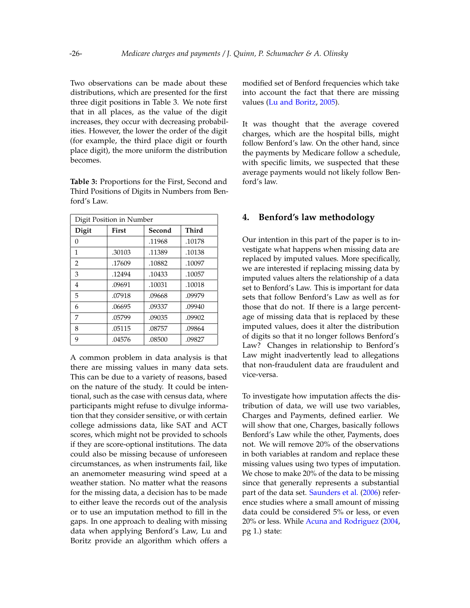Two observations can be made about these distributions, which are presented for the first three digit positions in Table [3.](#page-9-0) We note first that in all places, as the value of the digit increases, they occur with decreasing probabilities. However, the lower the order of the digit (for example, the third place digit or fourth place digit), the more uniform the distribution becomes.

<span id="page-9-0"></span>**Table 3:** Proportions for the First, Second and Third Positions of Digits in Numbers from Benford's Law.

| Digit Position in Number |        |        |        |  |
|--------------------------|--------|--------|--------|--|
| Digit                    | First  | Second | Third  |  |
| 0                        |        | .11968 | .10178 |  |
| 1                        | .30103 | .11389 | .10138 |  |
| 2                        | .17609 | .10882 | .10097 |  |
| 3                        | .12494 | .10433 | .10057 |  |
| 4                        | .09691 | .10031 | .10018 |  |
| 5                        | .07918 | .09668 | .09979 |  |
| 6                        | .06695 | .09337 | .09940 |  |
| 7                        | .05799 | .09035 | .09902 |  |
| 8                        | .05115 | .08757 | .09864 |  |
| 9                        | .04576 | .08500 | .09827 |  |

A common problem in data analysis is that there are missing values in many data sets. This can be due to a variety of reasons, based on the nature of the study. It could be intentional, such as the case with census data, where participants might refuse to divulge information that they consider sensitive, or with certain college admissions data, like SAT and ACT scores, which might not be provided to schools if they are score-optional institutions. The data could also be missing because of unforeseen circumstances, as when instruments fail, like an anemometer measuring wind speed at a weather station. No matter what the reasons for the missing data, a decision has to be made to either leave the records out of the analysis or to use an imputation method to fill in the gaps. In one approach to dealing with missing data when applying Benford's Law, Lu and Boritz provide an algorithm which offers a

modified set of Benford frequencies which take into account the fact that there are missing values [\(Lu and Boritz,](#page-17-4) [2005\)](#page-17-4).

It was thought that the average covered charges, which are the hospital bills, might follow Benford's law. On the other hand, since the payments by Medicare follow a schedule, with specific limits, we suspected that these average payments would not likely follow Benford's law.

### **4. Benford's law methodology**

Our intention in this part of the paper is to investigate what happens when missing data are replaced by imputed values. More specifically, we are interested if replacing missing data by imputed values alters the relationship of a data set to Benford's Law. This is important for data sets that follow Benford's Law as well as for those that do not. If there is a large percentage of missing data that is replaced by these imputed values, does it alter the distribution of digits so that it no longer follows Benford's Law? Changes in relationship to Benford's Law might inadvertently lead to allegations that non-fraudulent data are fraudulent and vice-versa.

To investigate how imputation affects the distribution of data, we will use two variables, Charges and Payments, defined earlier. We will show that one, Charges, basically follows Benford's Law while the other, Payments, does not. We will remove 20% of the observations in both variables at random and replace these missing values using two types of imputation. We chose to make 20% of the data to be missing since that generally represents a substantial part of the data set. [Saunders et al.](#page-18-2) [\(2006\)](#page-18-2) reference studies where a small amount of missing data could be considered 5% or less, or even 20% or less. While [Acuna and Rodriguez](#page-17-11) [\(2004,](#page-17-11) pg 1.) state: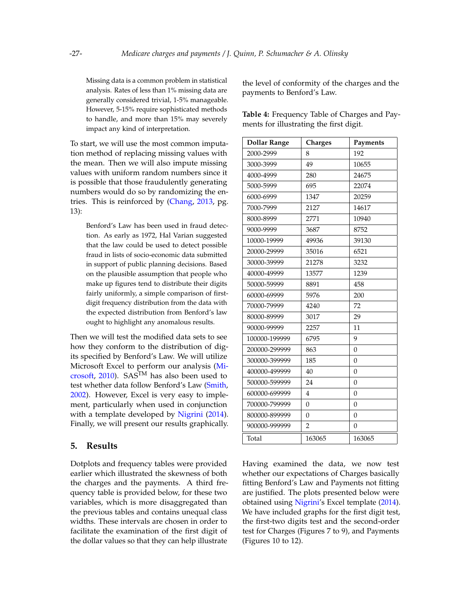Missing data is a common problem in statistical analysis. Rates of less than 1% missing data are generally considered trivial, 1-5% manageable. However, 5-15% require sophisticated methods to handle, and more than 15% may severely impact any kind of interpretation.

To start, we will use the most common imputation method of replacing missing values with the mean. Then we will also impute missing values with uniform random numbers since it is possible that those fraudulently generating numbers would do so by randomizing the entries. This is reinforced by [\(Chang,](#page-17-12) [2013,](#page-17-12) pg. 13):

> Benford's Law has been used in fraud detection. As early as 1972, Hal Varian suggested that the law could be used to detect possible fraud in lists of socio-economic data submitted in support of public planning decisions. Based on the plausible assumption that people who make up figures tend to distribute their digits fairly uniformly, a simple comparison of firstdigit frequency distribution from the data with the expected distribution from Benford's law ought to highlight any anomalous results.

Then we will test the modified data sets to see how they conform to the distribution of digits specified by Benford's Law. We will utilize Microsoft Excel to perform our analysis [\(Mi](#page-17-13)[crosoft,](#page-17-13) [2010\)](#page-17-13). SAS<sup>TM</sup> has also been used to test whether data follow Benford's Law [\(Smith,](#page-18-3) [2002\)](#page-18-3). However, Excel is very easy to implement, particularly when used in conjunction with a template developed by [Nigrini](#page-17-7) [\(2014\)](#page-17-7). Finally, we will present our results graphically.

### **5. Results**

Dotplots and frequency tables were provided earlier which illustrated the skewness of both the charges and the payments. A third frequency table is provided below, for these two variables, which is more disaggregated than the previous tables and contains unequal class widths. These intervals are chosen in order to facilitate the examination of the first digit of the dollar values so that they can help illustrate

the level of conformity of the charges and the payments to Benford's Law.

<span id="page-10-0"></span>**Table 4:** Frequency Table of Charges and Payments for illustrating the first digit.

| <b>Dollar Range</b> | Charges        | Payments         |
|---------------------|----------------|------------------|
| 2000-2999           | 8              | 192              |
| 3000-3999           | 49             | 10655            |
| 4000-4999           | 280            | 24675            |
| 5000-5999           | 695            | 22074            |
| 6000-6999           | 1347           | 20259            |
| 7000-7999           | 2127           | 14617            |
| 8000-8999           | 2771           | 10940            |
| 9000-9999           | 3687           | 8752             |
| 10000-19999         | 49936          | 39130            |
| 20000-29999         | 35016          | 6521             |
| 30000-39999         | 21278          | 3232             |
| 40000-49999         | 13577          | 1239             |
| 50000-59999         | 8891           | 458              |
| 60000-69999         | 5976           | 200              |
| 70000-79999         | 4240           | 72               |
| 80000-89999         | 3017           | 29               |
| 90000-99999         | 2257           | 11               |
| 100000-199999       | 6795           | 9                |
| 200000-299999       | 863            | $\overline{0}$   |
| 300000-399999       | 185            | $\mathbf{0}$     |
| 400000-499999       | 40             | $\mathbf{0}$     |
| 500000-599999       | 24             | $\overline{0}$   |
| 600000-699999       | $\overline{4}$ | $\mathbf{0}$     |
| 700000-799999       | $\Omega$       | $\Omega$         |
| 800000-899999       | $\overline{0}$ | $\boldsymbol{0}$ |
| 900000-999999       | $\overline{2}$ | $\overline{0}$   |
| Total               | 163065         | 163065           |

Having examined the data, we now test whether our expectations of Charges basically fitting Benford's Law and Payments not fitting are justified. The plots presented below were obtained using [Nigrini'](#page-17-7)s Excel template [\(2014\)](#page-17-7). We have included graphs for the first digit test, the first-two digits test and the second-order test for Charges (Figures [7](#page-11-0) to [9\)](#page-11-1), and Payments (Figures [10](#page-12-0) to [12\)](#page-12-1).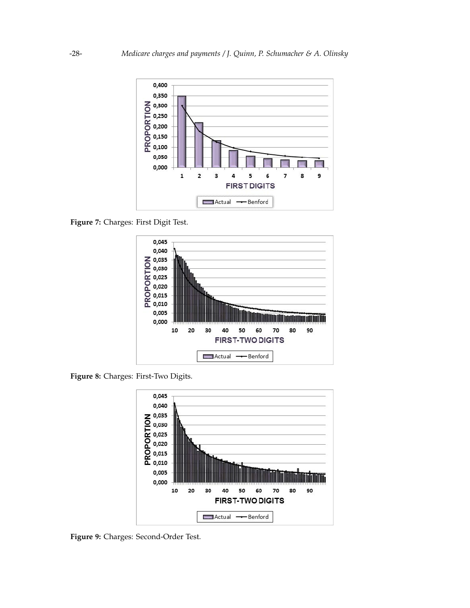<span id="page-11-0"></span>

<span id="page-11-2"></span>**Figure 7:** Charges: First Digit Test.



<span id="page-11-1"></span>**Figure 8:** Charges: First-Two Digits.



**Figure 9:** Charges: Second-Order Test.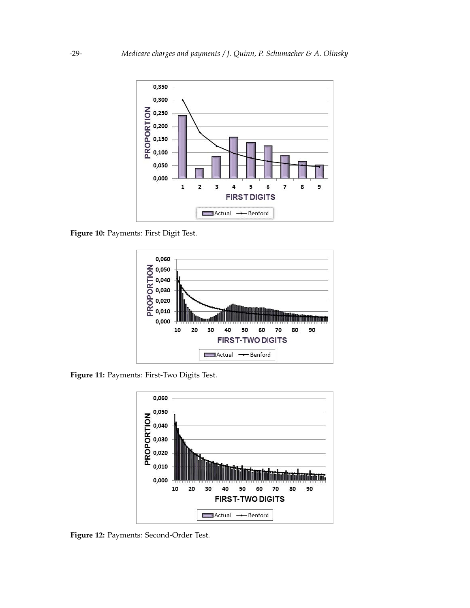<span id="page-12-0"></span>

<span id="page-12-2"></span>**Figure 10:** Payments: First Digit Test.



<span id="page-12-1"></span>**Figure 11:** Payments: First-Two Digits Test.



**Figure 12:** Payments: Second-Order Test.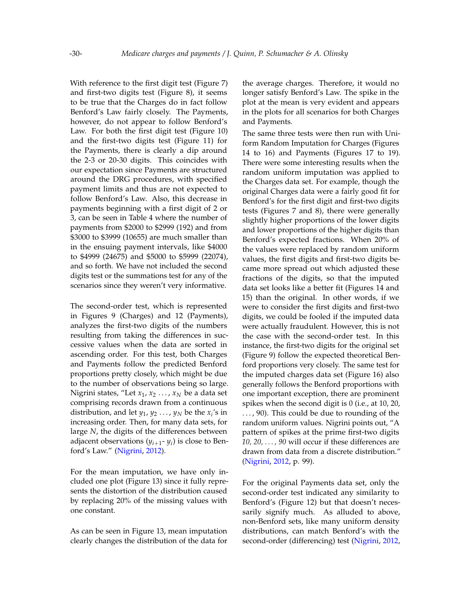With reference to the first digit test (Figure [7\)](#page-11-0) and first-two digits test (Figure [8\)](#page-11-2), it seems to be true that the Charges do in fact follow Benford's Law fairly closely. The Payments, however, do not appear to follow Benford's Law. For both the first digit test (Figure [10\)](#page-12-0) and the first-two digits test (Figure [11\)](#page-12-2) for the Payments, there is clearly a dip around the 2-3 or 20-30 digits. This coincides with our expectation since Payments are structured around the DRG procedures, with specified payment limits and thus are not expected to follow Benford's Law. Also, this decrease in payments beginning with a first digit of 2 or 3, can be seen in Table [4](#page-10-0) where the number of payments from \$2000 to \$2999 (192) and from \$3000 to \$3999 (10655) are much smaller than in the ensuing payment intervals, like \$4000 to \$4999 (24675) and \$5000 to \$5999 (22074), and so forth. We have not included the second digits test or the summations test for any of the scenarios since they weren't very informative.

The second-order test, which is represented in Figures [9](#page-11-1) (Charges) and [12](#page-12-1) (Payments), analyzes the first-two digits of the numbers resulting from taking the differences in successive values when the data are sorted in ascending order. For this test, both Charges and Payments follow the predicted Benford proportions pretty closely, which might be due to the number of observations being so large. Nigrini states, "Let  $x_1, x_2, \ldots, x_N$  be a data set comprising records drawn from a continuous distribution, and let  $y_1$ ,  $y_2$  ...,  $y_N$  be the  $x_i$ 's in increasing order. Then, for many data sets, for large *N*, the digits of the differences between adjacent observations (*yi*+<sup>1</sup> - *y<sup>i</sup>* ) is close to Benford's Law." [\(Nigrini,](#page-17-6) [2012\)](#page-17-6).

For the mean imputation, we have only included one plot (Figure [13\)](#page-14-0) since it fully represents the distortion of the distribution caused by replacing 20% of the missing values with one constant.

As can be seen in Figure [13,](#page-14-0) mean imputation clearly changes the distribution of the data for the average charges. Therefore, it would no longer satisfy Benford's Law. The spike in the plot at the mean is very evident and appears in the plots for all scenarios for both Charges and Payments.

The same three tests were then run with Uniform Random Imputation for Charges (Figures [14](#page-14-1) to [16\)](#page-15-0) and Payments (Figures [17](#page-16-0) to [19\)](#page-16-1). There were some interesting results when the random uniform imputation was applied to the Charges data set. For example, though the original Charges data were a fairly good fit for Benford's for the first digit and first-two digits tests (Figures [7](#page-11-0) and [8\)](#page-11-2), there were generally slightly higher proportions of the lower digits and lower proportions of the higher digits than Benford's expected fractions. When 20% of the values were replaced by random uniform values, the first digits and first-two digits became more spread out which adjusted these fractions of the digits, so that the imputed data set looks like a better fit (Figures [14](#page-14-1) and [15\)](#page-14-2) than the original. In other words, if we were to consider the first digits and first-two digits, we could be fooled if the imputed data were actually fraudulent. However, this is not the case with the second-order test. In this instance, the first-two digits for the original set (Figure [9\)](#page-11-1) follow the expected theoretical Benford proportions very closely. The same test for the imputed charges data set (Figure [16\)](#page-15-0) also generally follows the Benford proportions with one important exception, there are prominent spikes when the second digit is 0 (i.e., at 10, 20, . . . , 90). This could be due to rounding of the random uniform values. Nigrini points out, "A pattern of spikes at the prime first-two digits *10, 20, . . . , 90* will occur if these differences are drawn from data from a discrete distribution." [\(Nigrini,](#page-17-6) [2012,](#page-17-6) p. 99).

For the original Payments data set, only the second-order test indicated any similarity to Benford's (Figure [12\)](#page-12-1) but that doesn't necessarily signify much. As alluded to above, non-Benford sets, like many uniform density distributions, can match Benford's with the second-order (differencing) test [\(Nigrini,](#page-17-6) [2012,](#page-17-6)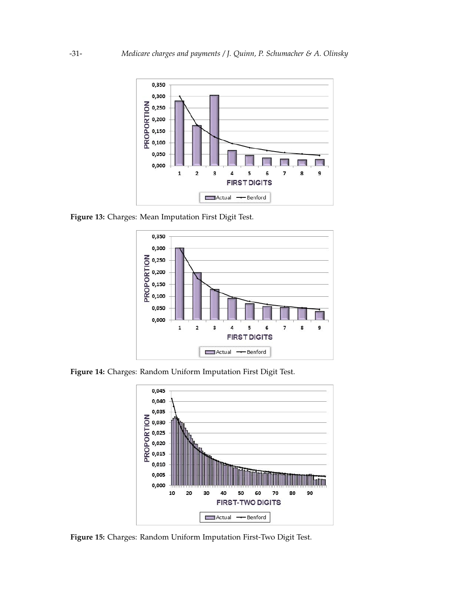<span id="page-14-0"></span>

<span id="page-14-1"></span>**Figure 13:** Charges: Mean Imputation First Digit Test.



<span id="page-14-2"></span>**Figure 14:** Charges: Random Uniform Imputation First Digit Test.



**Figure 15:** Charges: Random Uniform Imputation First-Two Digit Test.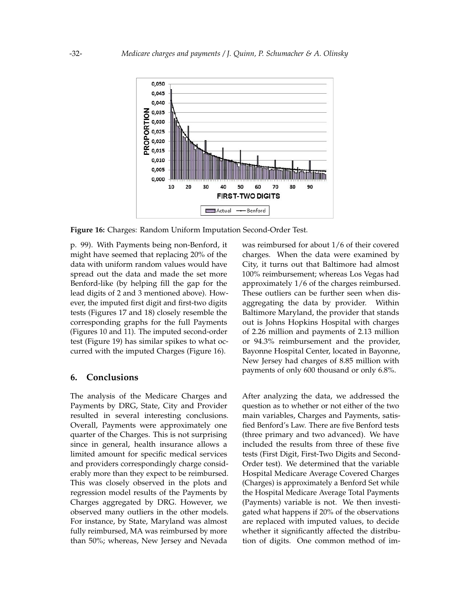<span id="page-15-0"></span>

**Figure 16:** Charges: Random Uniform Imputation Second-Order Test.

p. 99). With Payments being non-Benford, it might have seemed that replacing 20% of the data with uniform random values would have spread out the data and made the set more Benford-like (by helping fill the gap for the lead digits of 2 and 3 mentioned above). However, the imputed first digit and first-two digits tests (Figures [17](#page-16-0) and [18\)](#page-16-2) closely resemble the corresponding graphs for the full Payments (Figures [10](#page-12-0) and [11\)](#page-12-2). The imputed second-order test (Figure [19\)](#page-16-1) has similar spikes to what occurred with the imputed Charges (Figure [16\)](#page-15-0).

#### **6. Conclusions**

The analysis of the Medicare Charges and Payments by DRG, State, City and Provider resulted in several interesting conclusions. Overall, Payments were approximately one quarter of the Charges. This is not surprising since in general, health insurance allows a limited amount for specific medical services and providers correspondingly charge considerably more than they expect to be reimbursed. This was closely observed in the plots and regression model results of the Payments by Charges aggregated by DRG. However, we observed many outliers in the other models. For instance, by State, Maryland was almost fully reimbursed, MA was reimbursed by more than 50%; whereas, New Jersey and Nevada

was reimbursed for about 1/6 of their covered charges. When the data were examined by City, it turns out that Baltimore had almost 100% reimbursement; whereas Los Vegas had approximately 1/6 of the charges reimbursed. These outliers can be further seen when disaggregating the data by provider. Within Baltimore Maryland, the provider that stands out is Johns Hopkins Hospital with charges of 2.26 million and payments of 2.13 million or 94.3% reimbursement and the provider, Bayonne Hospital Center, located in Bayonne, New Jersey had charges of 8.85 million with payments of only 600 thousand or only 6.8%.

After analyzing the data, we addressed the question as to whether or not either of the two main variables, Charges and Payments, satisfied Benford's Law. There are five Benford tests (three primary and two advanced). We have included the results from three of these five tests (First Digit, First-Two Digits and Second-Order test). We determined that the variable Hospital Medicare Average Covered Charges (Charges) is approximately a Benford Set while the Hospital Medicare Average Total Payments (Payments) variable is not. We then investigated what happens if 20% of the observations are replaced with imputed values, to decide whether it significantly affected the distribution of digits. One common method of im-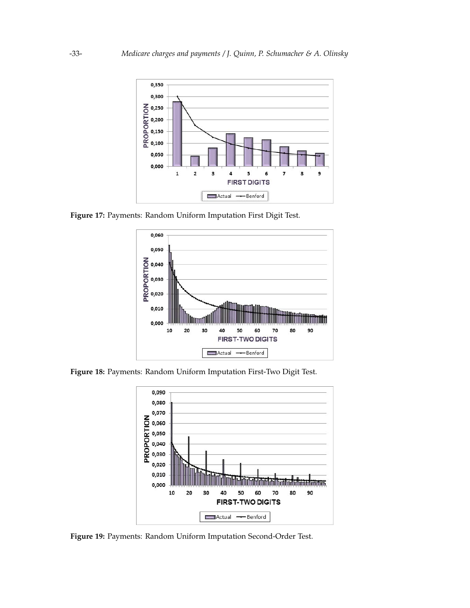<span id="page-16-0"></span>

<span id="page-16-2"></span>**Figure 17:** Payments: Random Uniform Imputation First Digit Test.



<span id="page-16-1"></span>**Figure 18:** Payments: Random Uniform Imputation First-Two Digit Test.



**Figure 19:** Payments: Random Uniform Imputation Second-Order Test.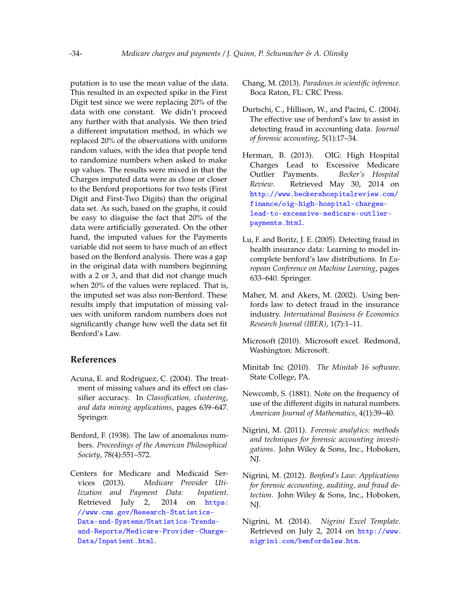putation is to use the mean value of the data. This resulted in an expected spike in the First Digit test since we were replacing 20% of the data with one constant. We didn't proceed any further with that analysis. We then tried a different imputation method, in which we replaced 20% of the observations with uniform random values, with the idea that people tend to randomize numbers when asked to make up values. The results were mixed in that the Charges imputed data were as close or closer to the Benford proportions for two tests (First Digit and First-Two Digits) than the original data set. As such, based on the graphs, it could be easy to disguise the fact that 20% of the data were artificially generated. On the other hand, the imputed values for the Payments variable did not seem to have much of an effect based on the Benford analysis. There was a gap in the original data with numbers beginning with a 2 or 3, and that did not change much when 20% of the values were replaced. That is, the imputed set was also non-Benford. These results imply that imputation of missing values with uniform random numbers does not significantly change how well the data set fit Benford's Law.

## **References**

- <span id="page-17-11"></span>Acuna, E. and Rodriguez, C. (2004). The treatment of missing values and its effect on classifier accuracy. In *Classification, clustering, and data mining applications*, pages 639–647. Springer.
- <span id="page-17-9"></span>Benford, F. (1938). The law of anomalous numbers. *Proceedings of the American Philosophical Society*, 78(4):551–572.
- <span id="page-17-0"></span>Centers for Medicare and Medicaid Services (2013). *Medicare Provider Utilization and Payment Data: Inpatient*. Retrieved July 2, 2014 on [https:](https://www.cms.gov/Research-Statistics-Data-and-Systems/Statistics-Trends-and-Reports/Medicare-Provider-Charge-Data/Inpatient.html) [//www.cms.gov/Research-Statistics-](https://www.cms.gov/Research-Statistics-Data-and-Systems/Statistics-Trends-and-Reports/Medicare-Provider-Charge-Data/Inpatient.html)[Data-and-Systems/Statistics-Trends](https://www.cms.gov/Research-Statistics-Data-and-Systems/Statistics-Trends-and-Reports/Medicare-Provider-Charge-Data/Inpatient.html)[and-Reports/Medicare-Provider-Charge-](https://www.cms.gov/Research-Statistics-Data-and-Systems/Statistics-Trends-and-Reports/Medicare-Provider-Charge-Data/Inpatient.html)[Data/Inpatient.html](https://www.cms.gov/Research-Statistics-Data-and-Systems/Statistics-Trends-and-Reports/Medicare-Provider-Charge-Data/Inpatient.html).
- <span id="page-17-12"></span>Chang, M. (2013). *Paradoxes in scientific inference*. Boca Raton, FL: CRC Press.
- <span id="page-17-3"></span>Durtschi, C., Hillison, W., and Pacini, C. (2004). The effective use of benford's law to assist in detecting fraud in accounting data. *Journal of forensic accounting*, 5(1):17–34.
- <span id="page-17-2"></span>Herman, B. (2013). OIG: High Hospital Charges Lead to Excessive Medicare Outlier Payments. *Becker's Hospital Review*. Retrieved May 30, 2014 on [http://www.beckershospitalreview.com/](http://www.beckershospitalreview.com/finance/oig-high-hospital-charges-lead-to-excessive-medicare-outlier-payments.html) [finance/oig-high-hospital-charges](http://www.beckershospitalreview.com/finance/oig-high-hospital-charges-lead-to-excessive-medicare-outlier-payments.html)[lead-to-excessive-medicare-outlier](http://www.beckershospitalreview.com/finance/oig-high-hospital-charges-lead-to-excessive-medicare-outlier-payments.html)[payments.html](http://www.beckershospitalreview.com/finance/oig-high-hospital-charges-lead-to-excessive-medicare-outlier-payments.html).
- <span id="page-17-4"></span>Lu, F. and Boritz, J. E. (2005). Detecting fraud in health insurance data: Learning to model incomplete benford's law distributions. In *European Conference on Machine Learning*, pages 633–640. Springer.
- <span id="page-17-5"></span>Maher, M. and Akers, M. (2002). Using benfords law to detect fraud in the insurance industry. *International Business & Economics Research Journal (IBER)*, 1(7):1–11.
- <span id="page-17-13"></span>Microsoft (2010). Microsoft excel. Redmond, Washington: Microsoft.
- <span id="page-17-1"></span>Minitab Inc (2010). *The Minitab 16 software*. State College, PA.
- <span id="page-17-8"></span>Newcomb, S. (1881). Note on the frequency of use of the different digits in natural numbers. *American Journal of Mathematics*, 4(1):39–40.
- <span id="page-17-10"></span>Nigrini, M. (2011). *Forensic analytics: methods and techniques for forensic accounting investigations*. John Wiley & Sons, Inc., Hoboken, NJ.
- <span id="page-17-6"></span>Nigrini, M. (2012). *Benford's Law: Applications for forensic accounting, auditing, and fraud detection*. John Wiley & Sons, Inc., Hoboken, NJ.
- <span id="page-17-7"></span>Nigrini, M. (2014). *Nigrini Excel Template*. Retrieved on July 2, 2014 on [http://www.](http://www.nigrini.com/benfordslaw.htm) [nigrini.com/benfordslaw.htm](http://www.nigrini.com/benfordslaw.htm).